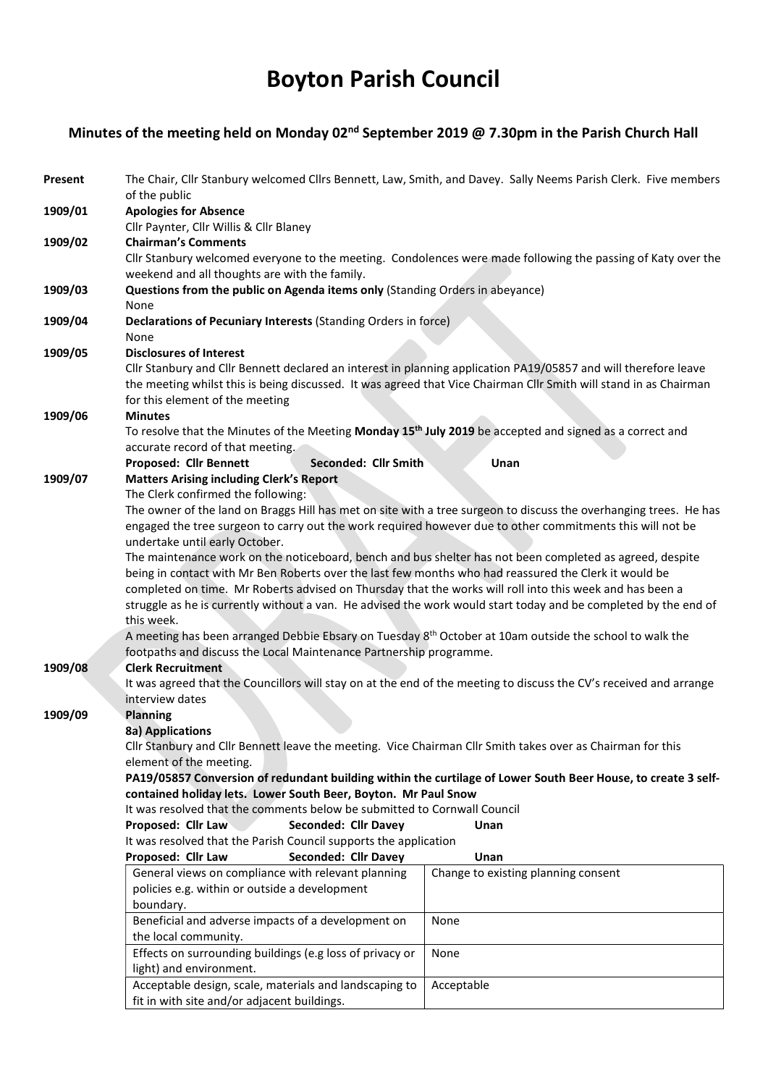# Boyton Parish Council

# Minutes of the meeting held on Monday 02<sup>nd</sup> September 2019 @ 7.30pm in the Parish Church Hall

| Present | The Chair, Cllr Stanbury welcomed Cllrs Bennett, Law, Smith, and Davey. Sally Neems Parish Clerk. Five members<br>of the public                                                                                                                                         |                      |                                                                                                                      |  |  |  |
|---------|-------------------------------------------------------------------------------------------------------------------------------------------------------------------------------------------------------------------------------------------------------------------------|----------------------|----------------------------------------------------------------------------------------------------------------------|--|--|--|
| 1909/01 | <b>Apologies for Absence</b>                                                                                                                                                                                                                                            |                      |                                                                                                                      |  |  |  |
|         | Cllr Paynter, Cllr Willis & Cllr Blaney                                                                                                                                                                                                                                 |                      |                                                                                                                      |  |  |  |
| 1909/02 | <b>Chairman's Comments</b>                                                                                                                                                                                                                                              |                      |                                                                                                                      |  |  |  |
|         |                                                                                                                                                                                                                                                                         |                      | Cllr Stanbury welcomed everyone to the meeting. Condolences were made following the passing of Katy over the         |  |  |  |
|         | weekend and all thoughts are with the family.                                                                                                                                                                                                                           |                      |                                                                                                                      |  |  |  |
| 1909/03 | Questions from the public on Agenda items only (Standing Orders in abeyance)<br>None                                                                                                                                                                                    |                      |                                                                                                                      |  |  |  |
| 1909/04 | Declarations of Pecuniary Interests (Standing Orders in force)<br>None                                                                                                                                                                                                  |                      |                                                                                                                      |  |  |  |
| 1909/05 | <b>Disclosures of Interest</b>                                                                                                                                                                                                                                          |                      |                                                                                                                      |  |  |  |
|         | Cllr Stanbury and Cllr Bennett declared an interest in planning application PA19/05857 and will therefore leave<br>the meeting whilst this is being discussed. It was agreed that Vice Chairman Cllr Smith will stand in as Chairman<br>for this element of the meeting |                      |                                                                                                                      |  |  |  |
| 1909/06 | <b>Minutes</b>                                                                                                                                                                                                                                                          |                      |                                                                                                                      |  |  |  |
|         |                                                                                                                                                                                                                                                                         |                      | To resolve that the Minutes of the Meeting Monday 15 <sup>th</sup> July 2019 be accepted and signed as a correct and |  |  |  |
|         | accurate record of that meeting.                                                                                                                                                                                                                                        |                      |                                                                                                                      |  |  |  |
|         | Proposed: Cllr Bennett                                                                                                                                                                                                                                                  | Seconded: Cllr Smith | Unan                                                                                                                 |  |  |  |
| 1909/07 | <b>Matters Arising including Clerk's Report</b><br>The Clerk confirmed the following:                                                                                                                                                                                   |                      |                                                                                                                      |  |  |  |
|         |                                                                                                                                                                                                                                                                         |                      | The owner of the land on Braggs Hill has met on site with a tree surgeon to discuss the overhanging trees. He has    |  |  |  |
|         |                                                                                                                                                                                                                                                                         |                      | engaged the tree surgeon to carry out the work required however due to other commitments this will not be            |  |  |  |
|         | undertake until early October.                                                                                                                                                                                                                                          |                      |                                                                                                                      |  |  |  |
|         |                                                                                                                                                                                                                                                                         |                      | The maintenance work on the noticeboard, bench and bus shelter has not been completed as agreed, despite             |  |  |  |
|         |                                                                                                                                                                                                                                                                         |                      | being in contact with Mr Ben Roberts over the last few months who had reassured the Clerk it would be                |  |  |  |
|         |                                                                                                                                                                                                                                                                         |                      | completed on time. Mr Roberts advised on Thursday that the works will roll into this week and has been a             |  |  |  |
|         |                                                                                                                                                                                                                                                                         |                      | struggle as he is currently without a van. He advised the work would start today and be completed by the end of      |  |  |  |
|         | this week.                                                                                                                                                                                                                                                              |                      |                                                                                                                      |  |  |  |
|         |                                                                                                                                                                                                                                                                         |                      | A meeting has been arranged Debbie Ebsary on Tuesday 8 <sup>th</sup> October at 10am outside the school to walk the  |  |  |  |
|         | footpaths and discuss the Local Maintenance Partnership programme.<br><b>Clerk Recruitment</b>                                                                                                                                                                          |                      |                                                                                                                      |  |  |  |
| 1909/08 |                                                                                                                                                                                                                                                                         |                      | It was agreed that the Councillors will stay on at the end of the meeting to discuss the CV's received and arrange   |  |  |  |
|         | interview dates                                                                                                                                                                                                                                                         |                      |                                                                                                                      |  |  |  |
| 1909/09 | <b>Planning</b>                                                                                                                                                                                                                                                         |                      |                                                                                                                      |  |  |  |
|         | 8a) Applications                                                                                                                                                                                                                                                        |                      |                                                                                                                      |  |  |  |
|         |                                                                                                                                                                                                                                                                         |                      | Cllr Stanbury and Cllr Bennett leave the meeting. Vice Chairman Cllr Smith takes over as Chairman for this           |  |  |  |
|         | element of the meeting.                                                                                                                                                                                                                                                 |                      |                                                                                                                      |  |  |  |
|         |                                                                                                                                                                                                                                                                         |                      | PA19/05857 Conversion of redundant building within the curtilage of Lower South Beer House, to create 3 self-        |  |  |  |
|         | contained holiday lets. Lower South Beer, Boyton. Mr Paul Snow                                                                                                                                                                                                          |                      |                                                                                                                      |  |  |  |
|         | It was resolved that the comments below be submitted to Cornwall Council                                                                                                                                                                                                |                      |                                                                                                                      |  |  |  |
|         | Proposed: Cllr Law                                                                                                                                                                                                                                                      | Seconded: Cllr Davey | Unan                                                                                                                 |  |  |  |
|         | It was resolved that the Parish Council supports the application<br>Proposed: Cllr Law                                                                                                                                                                                  | Seconded: Cllr Davey | Unan                                                                                                                 |  |  |  |
|         | General views on compliance with relevant planning                                                                                                                                                                                                                      |                      | Change to existing planning consent                                                                                  |  |  |  |
|         | policies e.g. within or outside a development                                                                                                                                                                                                                           |                      |                                                                                                                      |  |  |  |
|         | boundary.                                                                                                                                                                                                                                                               |                      |                                                                                                                      |  |  |  |
|         | Beneficial and adverse impacts of a development on                                                                                                                                                                                                                      |                      | None                                                                                                                 |  |  |  |
|         | the local community.                                                                                                                                                                                                                                                    |                      |                                                                                                                      |  |  |  |
|         | Effects on surrounding buildings (e.g loss of privacy or                                                                                                                                                                                                                |                      | None                                                                                                                 |  |  |  |
|         | light) and environment.                                                                                                                                                                                                                                                 |                      |                                                                                                                      |  |  |  |
|         | Acceptable design, scale, materials and landscaping to                                                                                                                                                                                                                  |                      | Acceptable                                                                                                           |  |  |  |
|         | fit in with site and/or adjacent buildings.                                                                                                                                                                                                                             |                      |                                                                                                                      |  |  |  |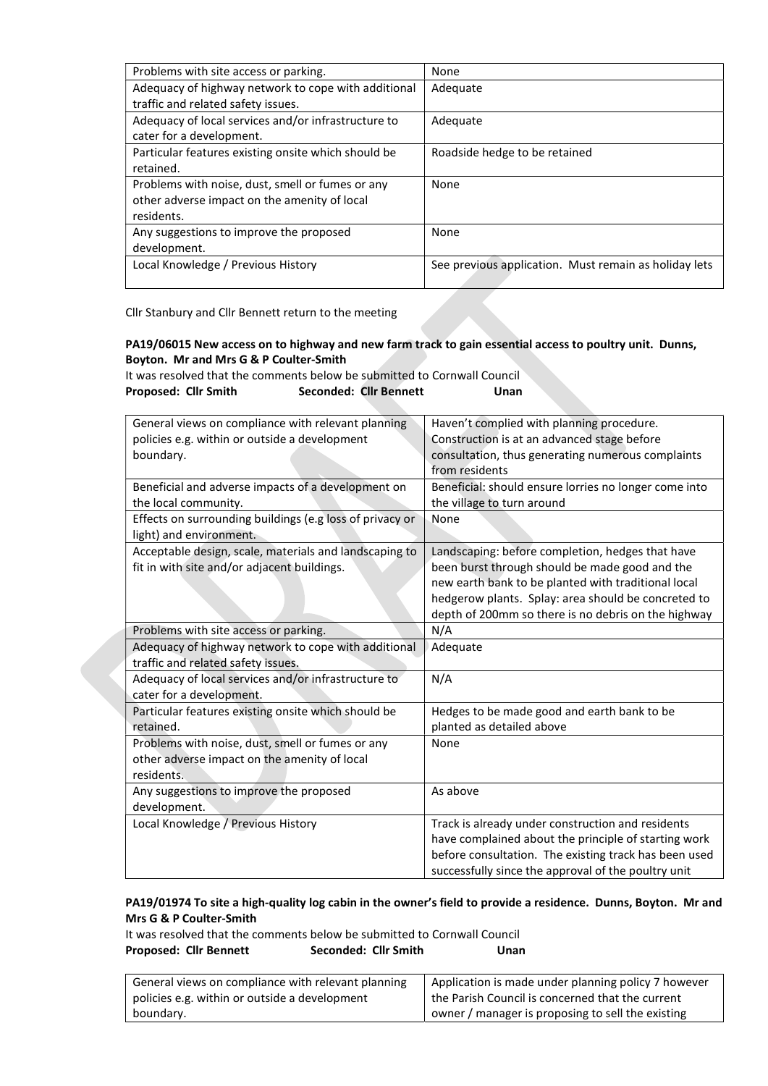| Problems with site access or parking.               | None                                                  |  |  |
|-----------------------------------------------------|-------------------------------------------------------|--|--|
| Adequacy of highway network to cope with additional | Adequate                                              |  |  |
| traffic and related safety issues.                  |                                                       |  |  |
| Adequacy of local services and/or infrastructure to | Adequate                                              |  |  |
| cater for a development.                            |                                                       |  |  |
| Particular features existing onsite which should be | Roadside hedge to be retained                         |  |  |
| retained.                                           |                                                       |  |  |
| Problems with noise, dust, smell or fumes or any    | None                                                  |  |  |
| other adverse impact on the amenity of local        |                                                       |  |  |
| residents.                                          |                                                       |  |  |
| Any suggestions to improve the proposed             | None                                                  |  |  |
| development.                                        |                                                       |  |  |
| Local Knowledge / Previous History                  | See previous application. Must remain as holiday lets |  |  |
|                                                     |                                                       |  |  |

Cllr Stanbury and Cllr Bennett return to the meeting

## PA19/06015 New access on to highway and new farm track to gain essential access to poultry unit. Dunns, Boyton. Mr and Mrs G & P Coulter-Smith

It was resolved that the comments below be submitted to Cornwall Council Proposed: Cllr Smith Seconded: Cllr Bennett Unan

| General views on compliance with relevant planning       | Haven't complied with planning procedure.             |  |  |
|----------------------------------------------------------|-------------------------------------------------------|--|--|
| policies e.g. within or outside a development            | Construction is at an advanced stage before           |  |  |
| boundary.                                                | consultation, thus generating numerous complaints     |  |  |
|                                                          | from residents                                        |  |  |
| Beneficial and adverse impacts of a development on       | Beneficial: should ensure lorries no longer come into |  |  |
| the local community.                                     | the village to turn around                            |  |  |
| Effects on surrounding buildings (e.g loss of privacy or | None                                                  |  |  |
| light) and environment.                                  |                                                       |  |  |
| Acceptable design, scale, materials and landscaping to   | Landscaping: before completion, hedges that have      |  |  |
| fit in with site and/or adjacent buildings.              | been burst through should be made good and the        |  |  |
|                                                          | new earth bank to be planted with traditional local   |  |  |
|                                                          | hedgerow plants. Splay: area should be concreted to   |  |  |
|                                                          | depth of 200mm so there is no debris on the highway   |  |  |
| Problems with site access or parking.                    | N/A                                                   |  |  |
| Adequacy of highway network to cope with additional      | Adequate                                              |  |  |
| traffic and related safety issues.                       |                                                       |  |  |
| Adequacy of local services and/or infrastructure to      | N/A                                                   |  |  |
| cater for a development.                                 |                                                       |  |  |
| Particular features existing onsite which should be      | Hedges to be made good and earth bank to be           |  |  |
| retained.                                                | planted as detailed above                             |  |  |
| Problems with noise, dust, smell or fumes or any         | None                                                  |  |  |
| other adverse impact on the amenity of local             |                                                       |  |  |
| residents.                                               |                                                       |  |  |
| Any suggestions to improve the proposed                  | As above                                              |  |  |
| development.                                             |                                                       |  |  |
| Local Knowledge / Previous History                       | Track is already under construction and residents     |  |  |
|                                                          | have complained about the principle of starting work  |  |  |
|                                                          | before consultation. The existing track has been used |  |  |
|                                                          | successfully since the approval of the poultry unit   |  |  |

### PA19/01974 To site a high-quality log cabin in the owner's field to provide a residence. Dunns, Boyton. Mr and Mrs G & P Coulter-Smith

It was resolved that the comments below be submitted to Cornwall Council Proposed: Cllr Bennett Seconded: Cllr Smith Unan

| General views on compliance with relevant planning | Application is made under planning policy 7 however |  |
|----------------------------------------------------|-----------------------------------------------------|--|
| policies e.g. within or outside a development      | the Parish Council is concerned that the current    |  |
| boundary.                                          | owner / manager is proposing to sell the existing   |  |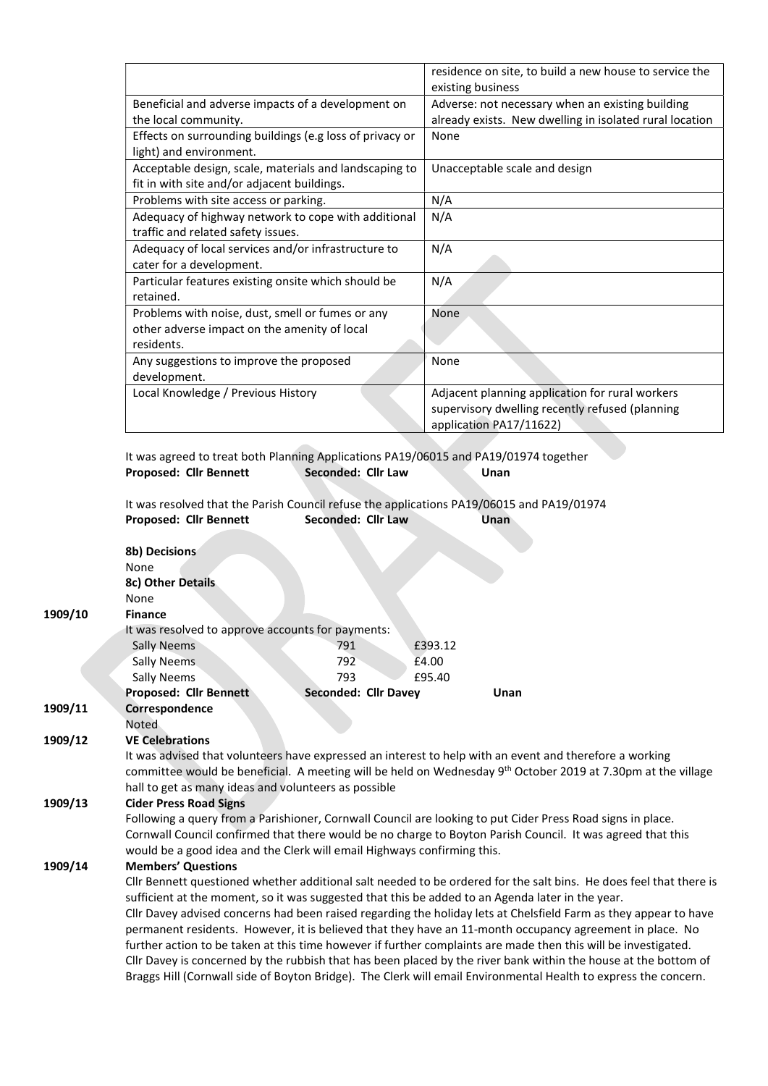|                                                                                                                | residence on site, to build a new house to service the<br>existing business                                                   |  |  |
|----------------------------------------------------------------------------------------------------------------|-------------------------------------------------------------------------------------------------------------------------------|--|--|
| Beneficial and adverse impacts of a development on<br>the local community.                                     | Adverse: not necessary when an existing building<br>already exists. New dwelling in isolated rural location                   |  |  |
| Effects on surrounding buildings (e.g loss of privacy or<br>light) and environment.                            | None                                                                                                                          |  |  |
| Acceptable design, scale, materials and landscaping to<br>fit in with site and/or adjacent buildings.          | Unacceptable scale and design                                                                                                 |  |  |
| Problems with site access or parking.                                                                          | N/A                                                                                                                           |  |  |
| Adequacy of highway network to cope with additional<br>traffic and related safety issues.                      | N/A                                                                                                                           |  |  |
| Adequacy of local services and/or infrastructure to<br>cater for a development.                                | N/A                                                                                                                           |  |  |
| Particular features existing onsite which should be<br>retained.                                               | N/A                                                                                                                           |  |  |
| Problems with noise, dust, smell or fumes or any<br>other adverse impact on the amenity of local<br>residents. | None                                                                                                                          |  |  |
| Any suggestions to improve the proposed<br>development.                                                        | None                                                                                                                          |  |  |
| Local Knowledge / Previous History                                                                             | Adjacent planning application for rural workers<br>supervisory dwelling recently refused (planning<br>application PA17/11622) |  |  |

It was agreed to treat both Planning Applications PA19/06015 and PA19/01974 together Proposed: Cllr Bennett Seconded: Cllr Law Unan

It was resolved that the Parish Council refuse the applications PA19/06015 and PA19/01974<br>Proposed: Clir Bennett Seconded: Clir Law Unan Proposed: Cllr Bennett

|         | 8b) Decisions                                                                                                            |                      |         |                                                                                                                    |  |  |
|---------|--------------------------------------------------------------------------------------------------------------------------|----------------------|---------|--------------------------------------------------------------------------------------------------------------------|--|--|
|         | <b>None</b>                                                                                                              |                      |         |                                                                                                                    |  |  |
|         | 8c) Other Details                                                                                                        |                      |         |                                                                                                                    |  |  |
|         | None                                                                                                                     |                      |         |                                                                                                                    |  |  |
| 1909/10 | <b>Finance</b>                                                                                                           |                      |         |                                                                                                                    |  |  |
|         | It was resolved to approve accounts for payments:                                                                        |                      |         |                                                                                                                    |  |  |
|         | <b>Sally Neems</b>                                                                                                       | 791                  | £393.12 |                                                                                                                    |  |  |
|         | Sally Neems                                                                                                              | 792                  | £4.00   |                                                                                                                    |  |  |
|         | <b>Sally Neems</b>                                                                                                       | 793                  | £95.40  |                                                                                                                    |  |  |
|         | <b>Proposed: Cllr Bennett</b>                                                                                            | Seconded: Cllr Davey |         | Unan                                                                                                               |  |  |
| 1909/11 | Correspondence                                                                                                           |                      |         |                                                                                                                    |  |  |
|         | Noted                                                                                                                    |                      |         |                                                                                                                    |  |  |
| 1909/12 | <b>VE Celebrations</b>                                                                                                   |                      |         |                                                                                                                    |  |  |
|         |                                                                                                                          |                      |         | It was advised that volunteers have expressed an interest to help with an event and therefore a working            |  |  |
|         | committee would be beneficial. A meeting will be held on Wednesday 9 <sup>th</sup> October 2019 at 7.30pm at the village |                      |         |                                                                                                                    |  |  |
|         | hall to get as many ideas and volunteers as possible                                                                     |                      |         |                                                                                                                    |  |  |
| 1909/13 | <b>Cider Press Road Signs</b>                                                                                            |                      |         |                                                                                                                    |  |  |
|         | Following a query from a Parishioner, Cornwall Council are looking to put Cider Press Road signs in place.               |                      |         |                                                                                                                    |  |  |
|         | Cornwall Council confirmed that there would be no charge to Boyton Parish Council. It was agreed that this               |                      |         |                                                                                                                    |  |  |
|         | would be a good idea and the Clerk will email Highways confirming this.                                                  |                      |         |                                                                                                                    |  |  |
| 1909/14 | <b>Members' Questions</b>                                                                                                |                      |         |                                                                                                                    |  |  |
|         |                                                                                                                          |                      |         | Cllr Bennett questioned whether additional salt needed to be ordered for the salt bins. He does feel that there is |  |  |
|         | sufficient at the moment, so it was suggested that this be added to an Agenda later in the year.                         |                      |         |                                                                                                                    |  |  |
|         |                                                                                                                          |                      |         | Cllr Davey advised concerns had been raised regarding the holiday lets at Chelsfield Farm as they appear to have   |  |  |
|         |                                                                                                                          |                      |         | permanent residents. However, it is believed that they have an 11-month occupancy agreement in place. No           |  |  |
|         |                                                                                                                          |                      |         | further action to be taken at this time however if further complaints are made then this will be investigated.     |  |  |
|         |                                                                                                                          |                      |         | Cllr Davey is concerned by the rubbish that has been placed by the river bank within the house at the bottom of    |  |  |
|         |                                                                                                                          |                      |         | Braggs Hill (Cornwall side of Boyton Bridge). The Clerk will email Environmental Health to express the concern.    |  |  |
|         |                                                                                                                          |                      |         |                                                                                                                    |  |  |